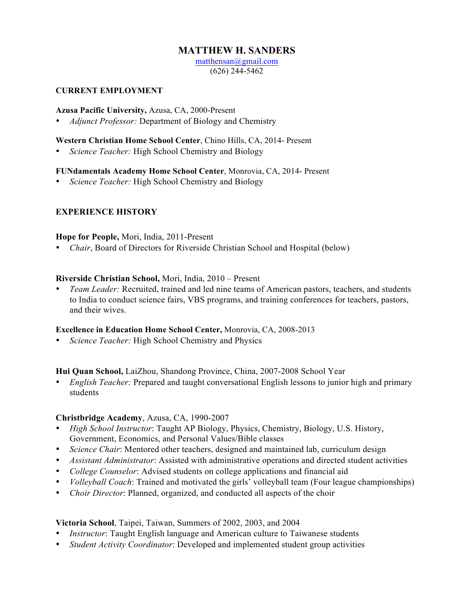# **MATTHEW H. SANDERS**

matthensan@gmail.com (626) 244-5462

#### **CURRENT EMPLOYMENT**

#### **Azusa Pacific University,** Azusa, CA, 2000-Present

• *Adjunct Professor:* Department of Biology and Chemistry

#### **Western Christian Home School Center**, Chino Hills, CA, 2014- Present

• *Science Teacher:* High School Chemistry and Biology

### **FUNdamentals Academy Home School Center**, Monrovia, CA, 2014- Present

• *Science Teacher:* High School Chemistry and Biology

### **EXPERIENCE HISTORY**

#### **Hope for People,** Mori, India, 2011-Present

• *Chair*, Board of Directors for Riverside Christian School and Hospital (below)

#### **Riverside Christian School,** Mori, India, 2010 – Present

• *Team Leader:* Recruited, trained and led nine teams of American pastors, teachers, and students to India to conduct science fairs, VBS programs, and training conferences for teachers, pastors, and their wives.

#### **Excellence in Education Home School Center,** Monrovia, CA, 2008-2013

• *Science Teacher:* High School Chemistry and Physics

#### **Hui Quan School,** LaiZhou, Shandong Province, China, 2007-2008 School Year

• *English Teacher:* Prepared and taught conversational English lessons to junior high and primary students

#### **Christbridge Academy**, Azusa, CA, 1990-2007

- *High School Instructor*: Taught AP Biology, Physics, Chemistry, Biology, U.S. History, Government, Economics, and Personal Values/Bible classes
- *Science Chair*: Mentored other teachers, designed and maintained lab, curriculum design
- *Assistant Administrator*: Assisted with administrative operations and directed student activities
- *College Counselor*: Advised students on college applications and financial aid
- *Volleyball Coach*: Trained and motivated the girls' volleyball team (Four league championships)
- *Choir Director*: Planned, organized, and conducted all aspects of the choir

## **Victoria School**, Taipei, Taiwan, Summers of 2002, 2003, and 2004

- *Instructor*: Taught English language and American culture to Taiwanese students
- *Student Activity Coordinator*: Developed and implemented student group activities